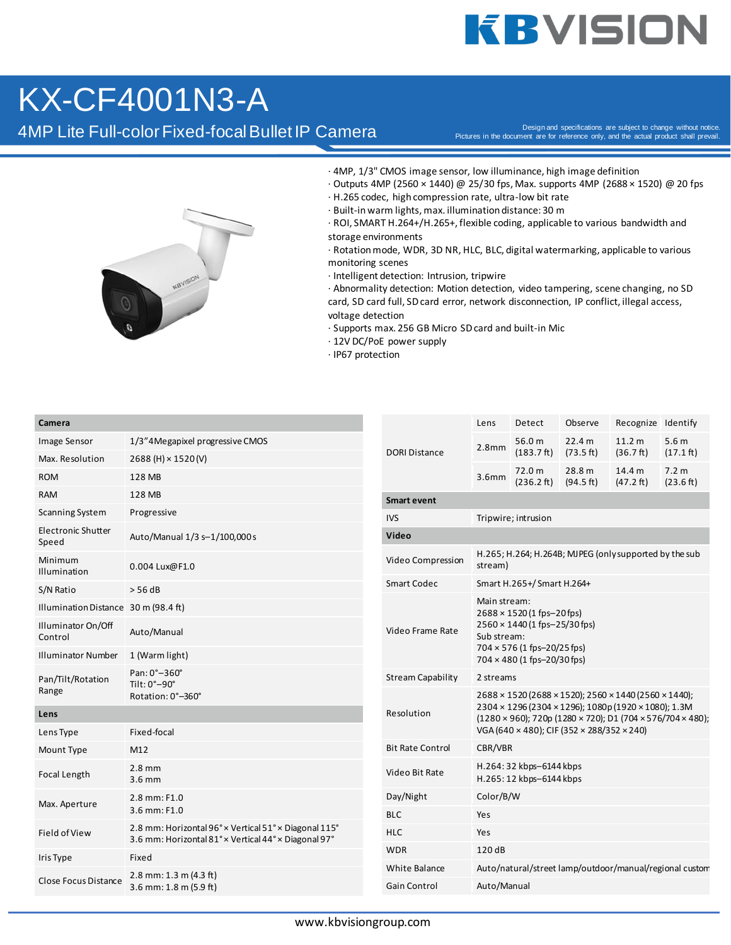## **KBVISION**

### KX-CF4001N3-A

4MP Lite Full-color Fixed-focal Bullet IP Camera

Pictures in the document are for reference only, and the actual product shall prevail.



- · 4MP, 1/3" CMOS image sensor, low illuminance, high image definition
- · Outputs 4MP (2560 × 1440) @ 25/30 fps, Max. supports 4MP (2688 × 1520) @ 20 fps
- · H.265 codec, high compression rate, ultra-low bit rate
- · Built-in warm lights, max. illumination distance: 30 m
- · ROI, SMART H.264+/H.265+, flexible coding, applicable to various bandwidth and storage environments

· Rotation mode, WDR, 3D NR, HLC, BLC, digital watermarking, applicable to various monitoring scenes

· Intelligent detection: Intrusion, tripwire

· Abnormality detection: Motion detection, video tampering, scene changing, no SD card, SD card full, SD card error, network disconnection, IP conflict, illegal access, voltage detection

- · Supports max. 256 GB Micro SD card and built-in Mic
- · 12V DC/PoE power supply
- · IP67 protection

#### **Camera**

| Image Sensor                         | 1/3"4Megapixel progressive CMOS                                                                               |  |  |  |
|--------------------------------------|---------------------------------------------------------------------------------------------------------------|--|--|--|
| Max. Resolution                      | 2688 (H) × 1520 (V)                                                                                           |  |  |  |
| <b>ROM</b>                           | 128 MB                                                                                                        |  |  |  |
| <b>RAM</b>                           | 128 MB                                                                                                        |  |  |  |
| Scanning System                      | Progressive                                                                                                   |  |  |  |
| Electronic Shutter<br>Speed          | Auto/Manual 1/3 s-1/100,000 s                                                                                 |  |  |  |
| Minimum<br>Illumination              | 0.004 Lux@F1.0                                                                                                |  |  |  |
| S/N Ratio                            | $>$ 56 dB                                                                                                     |  |  |  |
| Illumination Distance 30 m (98.4 ft) |                                                                                                               |  |  |  |
| Illuminator On/Off<br>Control        | Auto/Manual                                                                                                   |  |  |  |
| <b>Illuminator Number</b>            | 1 (Warm light)                                                                                                |  |  |  |
| Pan/Tilt/Rotation<br>Range           | Pan: 0°-360°<br>Tilt: 0°-90°<br>Rotation: 0°-360°                                                             |  |  |  |
| Lens                                 |                                                                                                               |  |  |  |
| Lens Type                            | Fixed-focal                                                                                                   |  |  |  |
| Mount Type                           | M12                                                                                                           |  |  |  |
| <b>Focal Length</b>                  | $2.8$ mm<br>$3.6$ mm                                                                                          |  |  |  |
| Max. Aperture                        | $2.8$ mm: $F1.0$<br>$3.6$ mm: $F1.0$                                                                          |  |  |  |
| Field of View                        | 2.8 mm: Horizontal 96° × Vertical 51° × Diagonal 115°<br>3.6 mm: Horizontal 81° x Vertical 44° x Diagonal 97° |  |  |  |
| Iris Type                            | Fixed                                                                                                         |  |  |  |
| <b>Close Focus Distance</b>          | $2.8$ mm: 1.3 m (4.3 ft)<br>3.6 mm: 1.8 m (5.9 ft)                                                            |  |  |  |

| <b>DORI Distance</b>     | Lens                                                                                                                                                                                                                              | Detect                         | Observe                        | Recognize Identify             |                             |  |  |
|--------------------------|-----------------------------------------------------------------------------------------------------------------------------------------------------------------------------------------------------------------------------------|--------------------------------|--------------------------------|--------------------------------|-----------------------------|--|--|
|                          | 2.8 <sub>mm</sub>                                                                                                                                                                                                                 | 56.0 m<br>$(183.7 \text{ ft})$ | 22.4 m<br>(73.5 ft)            | 11.2 <sub>m</sub><br>(36.7 ft) | 5.6m<br>$(17.1 \text{ ft})$ |  |  |
|                          | 3.6 <sub>mm</sub>                                                                                                                                                                                                                 | 72.0 m<br>(236.2 ft)           | 28.8 <sub>m</sub><br>(94.5 ft) | 14.4 <sub>m</sub><br>(47.2 ft) | 7.2 m<br>(23.6 ft)          |  |  |
| <b>Smart event</b>       |                                                                                                                                                                                                                                   |                                |                                |                                |                             |  |  |
| <b>IVS</b>               | Tripwire; intrusion                                                                                                                                                                                                               |                                |                                |                                |                             |  |  |
| Video                    |                                                                                                                                                                                                                                   |                                |                                |                                |                             |  |  |
| Video Compression        | H.265; H.264; H.264B; MJPEG (only supported by the sub<br>stream)                                                                                                                                                                 |                                |                                |                                |                             |  |  |
| <b>Smart Codec</b>       | Smart H.265+/Smart H.264+                                                                                                                                                                                                         |                                |                                |                                |                             |  |  |
| Video Frame Rate         | Main stream:<br>$2688 \times 1520$ (1 fps-20 fps)<br>2560 × 1440 (1 fps-25/30 fps)<br>Sub stream:<br>704 × 576 (1 fps-20/25 fps)<br>$704 \times 480$ (1 fps-20/30 fps)                                                            |                                |                                |                                |                             |  |  |
| <b>Stream Capability</b> | 2 streams                                                                                                                                                                                                                         |                                |                                |                                |                             |  |  |
| Resolution               | 2688 × 1520 (2688 × 1520); 2560 × 1440 (2560 × 1440);<br>2304 × 1296 (2304 × 1296); 1080p (1920 × 1080); 1.3M<br>$(1280 \times 960)$ ; 720p (1280 × 720); D1 (704 × 576/704 × 480);<br>VGA (640 × 480); CIF (352 × 288/352 × 240) |                                |                                |                                |                             |  |  |
| <b>Bit Rate Control</b>  | CBR/VBR                                                                                                                                                                                                                           |                                |                                |                                |                             |  |  |
| Video Bit Rate           | H.264: 32 kbps-6144 kbps<br>H.265: 12 kbps-6144 kbps                                                                                                                                                                              |                                |                                |                                |                             |  |  |
| Day/Night                | Color/B/W                                                                                                                                                                                                                         |                                |                                |                                |                             |  |  |
| <b>BLC</b>               | Yes                                                                                                                                                                                                                               |                                |                                |                                |                             |  |  |
| <b>HLC</b>               | Yes                                                                                                                                                                                                                               |                                |                                |                                |                             |  |  |
| <b>WDR</b>               | 120 dB                                                                                                                                                                                                                            |                                |                                |                                |                             |  |  |
| White Balance            | Auto/natural/street lamp/outdoor/manual/regional custom                                                                                                                                                                           |                                |                                |                                |                             |  |  |
| Gain Control             | Auto/Manual                                                                                                                                                                                                                       |                                |                                |                                |                             |  |  |